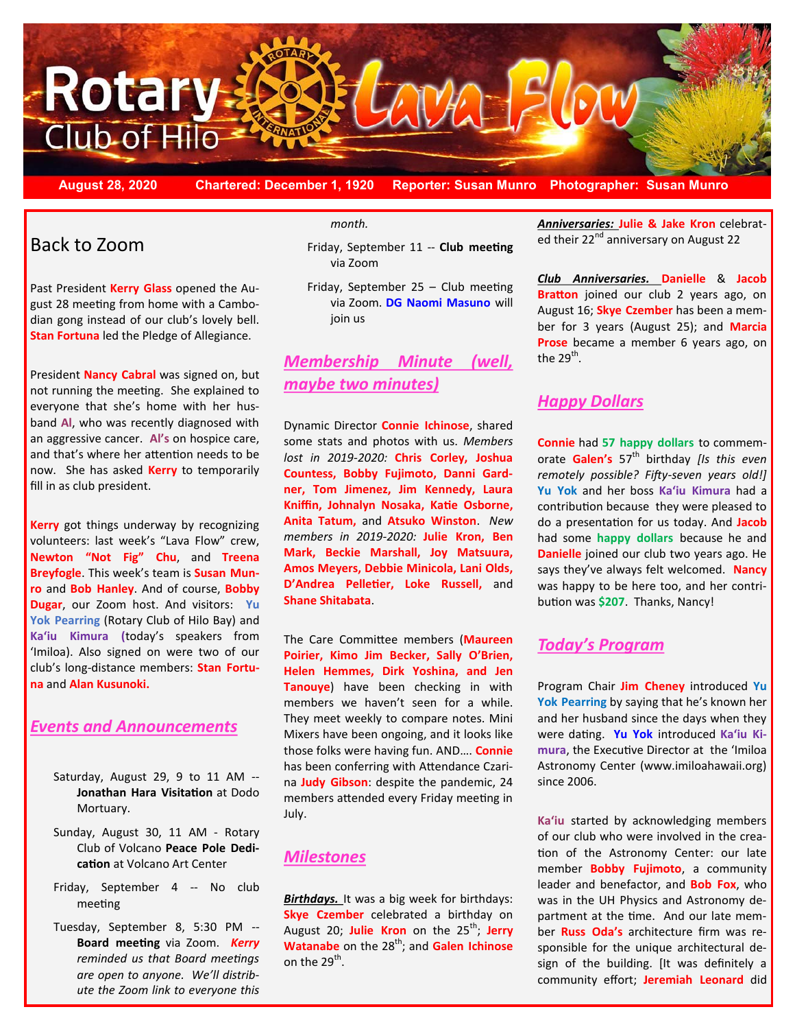

**August 28, 2020 Chartered: December 1, 1920 Reporter: Susan Munro Photographer: Susan Munro**

# Back to Zoom

Past President **Kerry Glass** opened the August 28 meeting from home with a Cambodian gong instead of our club's lovely bell. **Stan Fortuna** led the Pledge of Allegiance.

President **Nancy Cabral** was signed on, but not running the meeting. She explained to everyone that she's home with her husband **Al**, who was recently diagnosed with an aggressive cancer. **Al's** on hospice care, and that's where her attention needs to be now. She has asked **Kerry** to temporarily fill in as club president.

**Kerry** got things underway by recognizing volunteers: last week's "Lava Flow" crew, **Newton "Not Fig" Chu**, and **Treena Breyfogle**. This week's team is **Susan Munro** and **Bob Hanley**. And of course, **Bobby Dugar**, our Zoom host. And visitors: **Yu Yok Pearring** (Rotary Club of Hilo Bay) and **Ka'iu Kimura (**today's speakers from 'Imiloa). Also signed on were two of our club's long-distance members: **Stan Fortuna** and **Alan Kusunoki.**

### *Events and Announcements*

- Saturday, August 29, 9 to 11 AM -- **Jonathan Hara Visitation** at Dodo Mortuary.
- Sunday, August 30, 11 AM Rotary Club of Volcano **Peace Pole Dedication** at Volcano Art Center
- Friday, September 4 -- No club meeting
- Tuesday, September 8, 5:30 PM -- **Board meeting** via Zoom. *Kerry reminded us that Board meetings are open to anyone. We'll distribute the Zoom link to everyone this*

*month.*

Friday, September 11 -- **Club meeting** via Zoom

Friday, September 25 – Club meeting via Zoom. **DG Naomi Masuno** will join us

## *Membership Minute (well, maybe two minutes)*

Dynamic Director **Connie Ichinose**, shared some stats and photos with us. *Members lost in 2019-2020:* **Chris Corley, Joshua Countess, Bobby Fujimoto, Danni Gardner, Tom Jimenez, Jim Kennedy, Laura Kniffin, Johnalyn Nosaka, Katie Osborne, Anita Tatum,** and **Atsuko Winston**. *New members in 2019-2020:* **Julie Kron, Ben Mark, Beckie Marshall, Joy Matsuura, Amos Meyers, Debbie Minicola, Lani Olds, D'Andrea Pelletier, Loke Russell,** and **Shane Shitabata**.

The Care Committee members (**Maureen Poirier, Kimo Jim Becker, Sally O'Brien, Helen Hemmes, Dirk Yoshina, and Jen Tanouye**) have been checking in with members we haven't seen for a while. They meet weekly to compare notes. Mini Mixers have been ongoing, and it looks like those folks were having fun. AND…. **Connie**  has been conferring with Attendance Czarina **Judy Gibson**: despite the pandemic, 24 members attended every Friday meeting in July.

### *Milestones*

**Birthdays.** It was a big week for birthdays: **Skye Czember** celebrated a birthday on August 20; Julie Kron on the 25<sup>th</sup>; Jerry **Watanabe** on the 28<sup>th</sup>; and **Galen Ichinose** on the 29<sup>th</sup>.

*Anniversaries:* **Julie & Jake Kron** celebrated their 22<sup>nd</sup> anniversary on August 22

*Club Anniversaries.* **Danielle** & **Jacob Bratton** joined our club 2 years ago, on August 16; **Skye Czember** has been a member for 3 years (August 25); and **Marcia Prose** became a member 6 years ago, on the 29 $^{\sf th}$ .

### *Happy Dollars*

**Connie** had **57 happy dollars** to commemorate **Galen's** 57th birthday *[Is this even remotely possible? Fifty-seven years old!]* **Yu Yok** and her boss **Ka'iu Kimura** had a contribution because they were pleased to do a presentation for us today. And **Jacob** had some **happy dollars** because he and **Danielle** joined our club two years ago. He says they've always felt welcomed. **Nancy** was happy to be here too, and her contribution was **\$207**. Thanks, Nancy!

### *Today's Program*

Program Chair **Jim Cheney** introduced **Yu Yok Pearring** by saying that he's known her and her husband since the days when they were dating. **Yu Yok** introduced **Ka'iu Kimura**, the Executive Director at the 'Imiloa Astronomy Center (www.imiloahawaii.org) since 2006.

**Ka'iu** started by acknowledging members of our club who were involved in the creation of the Astronomy Center: our late member **Bobby Fujimoto**, a community leader and benefactor, and **Bob Fox**, who was in the UH Physics and Astronomy department at the time. And our late member **Russ Oda's** architecture firm was responsible for the unique architectural design of the building. [It was definitely a community effort; **Jeremiah Leonard** did